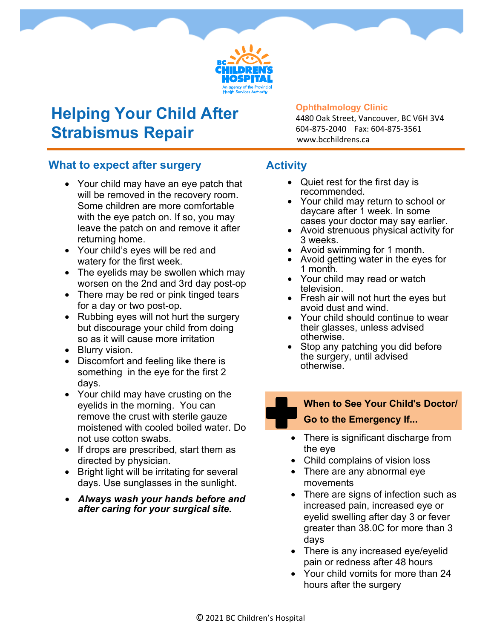

## **Helping Your Child After Strabismus Repair**

#### **Ophthalmology Clinic**

4480 Oak Street, Vancouver, BC V6H 3V4 604-875-2040 Fax: 604-875-3561 www.bcchildrens.ca

#### **What to expect after surgery**

- Your child may have an eye patch that will be removed in the recovery room. Some children are more comfortable with the eye patch on. If so, you may leave the patch on and remove it after returning home.
- Your child's eyes will be red and watery for the first week.
- The eyelids may be swollen which may worsen on the 2nd and 3rd day post-op
- There may be red or pink tinged tears for a day or two post-op.
- Rubbing eyes will not hurt the surgery but discourage your child from doing so as it will cause more irritation
- Blurry vision.
- Discomfort and feeling like there is something in the eye for the first 2 days.
- Your child may have crusting on the eyelids in the morning. You can remove the crust with sterile gauze moistened with cooled boiled water. Do not use cotton swabs.
- If drops are prescribed, start them as directed by physician.
- Bright light will be irritating for several days. Use sunglasses in the sunlight.
- *Always wash your hands before and after caring for your surgical site.*

### **Activity**

- Quiet rest for the first day is recommended.
- Your child may return to school or daycare after 1 week. In some cases your doctor may say earlier.
- Avoid strenuous physical activity for 3 weeks.
- Avoid swimming for 1 month.
- Avoid getting water in the eyes for 1 month.
- Your child may read or watch television.
- Fresh air will not hurt the eyes but avoid dust and wind.
- Your child should continue to wear their glasses, unless advised otherwise.
- Stop any patching you did before the surgery, until advised otherwise.

### **When to See Your Child's Doctor/ Go to the Emergency If...**

- There is significant discharge from the eye
- Child complains of vision loss
- There are any abnormal eye movements
- There are signs of infection such as increased pain, increased eye or eyelid swelling after day 3 or fever greater than 38.0C for more than 3 days
- There is any increased eye/eyelid pain or redness after 48 hours
- Your child vomits for more than 24 hours after the surgery